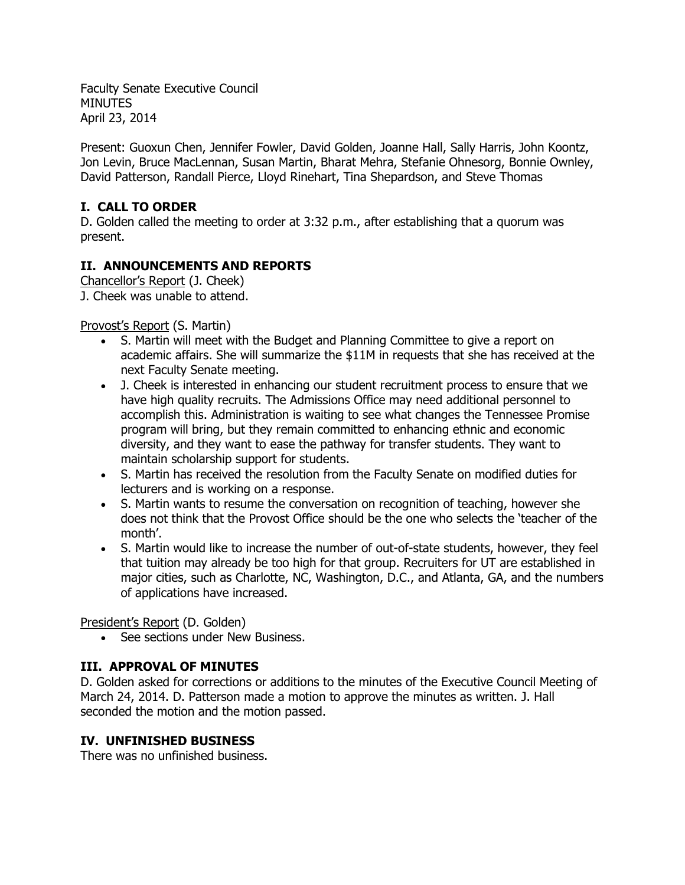Faculty Senate Executive Council **MINUTES** April 23, 2014

Present: Guoxun Chen, Jennifer Fowler, David Golden, Joanne Hall, Sally Harris, John Koontz, Jon Levin, Bruce MacLennan, Susan Martin, Bharat Mehra, Stefanie Ohnesorg, Bonnie Ownley, David Patterson, Randall Pierce, Lloyd Rinehart, Tina Shepardson, and Steve Thomas

# **I. CALL TO ORDER**

D. Golden called the meeting to order at 3:32 p.m., after establishing that a quorum was present.

# **II. ANNOUNCEMENTS AND REPORTS**

Chancellor's Report (J. Cheek) J. Cheek was unable to attend.

# Provost's Report (S. Martin)

- S. Martin will meet with the Budget and Planning Committee to give a report on academic affairs. She will summarize the \$11M in requests that she has received at the next Faculty Senate meeting.
- J. Cheek is interested in enhancing our student recruitment process to ensure that we have high quality recruits. The Admissions Office may need additional personnel to accomplish this. Administration is waiting to see what changes the Tennessee Promise program will bring, but they remain committed to enhancing ethnic and economic diversity, and they want to ease the pathway for transfer students. They want to maintain scholarship support for students.
- S. Martin has received the resolution from the Faculty Senate on modified duties for lecturers and is working on a response.
- S. Martin wants to resume the conversation on recognition of teaching, however she does not think that the Provost Office should be the one who selects the 'teacher of the month'.
- S. Martin would like to increase the number of out-of-state students, however, they feel that tuition may already be too high for that group. Recruiters for UT are established in major cities, such as Charlotte, NC, Washington, D.C., and Atlanta, GA, and the numbers of applications have increased.

# President's Report (D. Golden)

• See sections under New Business.

# **III. APPROVAL OF MINUTES**

D. Golden asked for corrections or additions to the minutes of the Executive Council Meeting of March 24, 2014. D. Patterson made a motion to approve the minutes as written. J. Hall seconded the motion and the motion passed.

# **IV. UNFINISHED BUSINESS**

There was no unfinished business.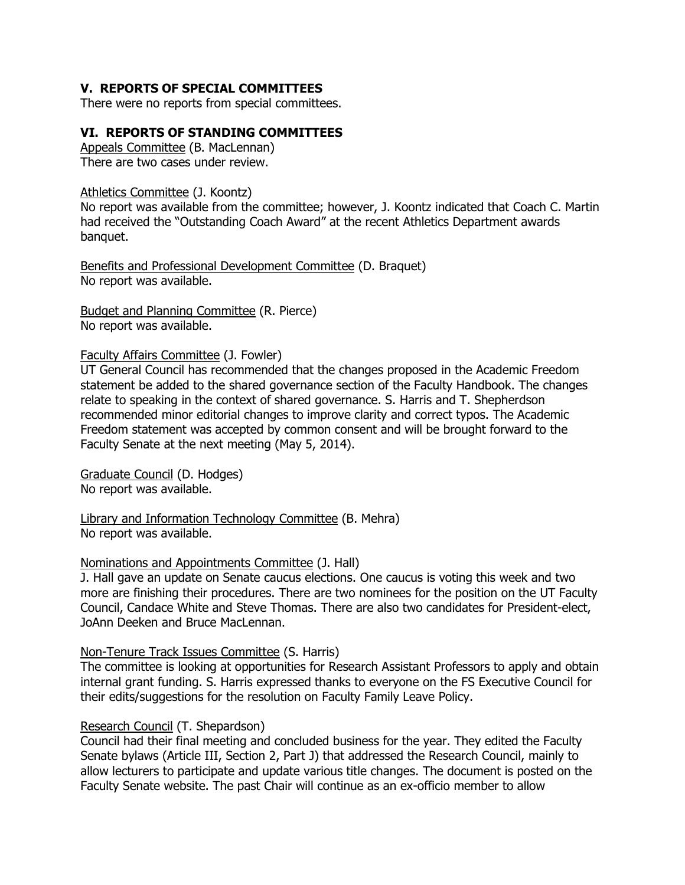# **V. REPORTS OF SPECIAL COMMITTEES**

There were no reports from special committees.

#### **VI. REPORTS OF STANDING COMMITTEES**

Appeals Committee (B. MacLennan) There are two cases under review.

Athletics Committee (J. Koontz)

No report was available from the committee; however, J. Koontz indicated that Coach C. Martin had received the "Outstanding Coach Award" at the recent Athletics Department awards banquet.

Benefits and Professional Development Committee (D. Braquet) No report was available.

Budget and Planning Committee (R. Pierce) No report was available.

#### Faculty Affairs Committee (J. Fowler)

UT General Council has recommended that the changes proposed in the Academic Freedom statement be added to the shared governance section of the Faculty Handbook. The changes relate to speaking in the context of shared governance. S. Harris and T. Shepherdson recommended minor editorial changes to improve clarity and correct typos. The Academic Freedom statement was accepted by common consent and will be brought forward to the Faculty Senate at the next meeting (May 5, 2014).

Graduate Council (D. Hodges) No report was available.

Library and Information Technology Committee (B. Mehra) No report was available.

#### Nominations and Appointments Committee (J. Hall)

J. Hall gave an update on Senate caucus elections. One caucus is voting this week and two more are finishing their procedures. There are two nominees for the position on the UT Faculty Council, Candace White and Steve Thomas. There are also two candidates for President-elect, JoAnn Deeken and Bruce MacLennan.

#### Non-Tenure Track Issues Committee (S. Harris)

The committee is looking at opportunities for Research Assistant Professors to apply and obtain internal grant funding. S. Harris expressed thanks to everyone on the FS Executive Council for their edits/suggestions for the resolution on Faculty Family Leave Policy.

#### Research Council (T. Shepardson)

Council had their final meeting and concluded business for the year. They edited the Faculty Senate bylaws (Article III, Section 2, Part J) that addressed the Research Council, mainly to allow lecturers to participate and update various title changes. The document is posted on the Faculty Senate website. The past Chair will continue as an ex-officio member to allow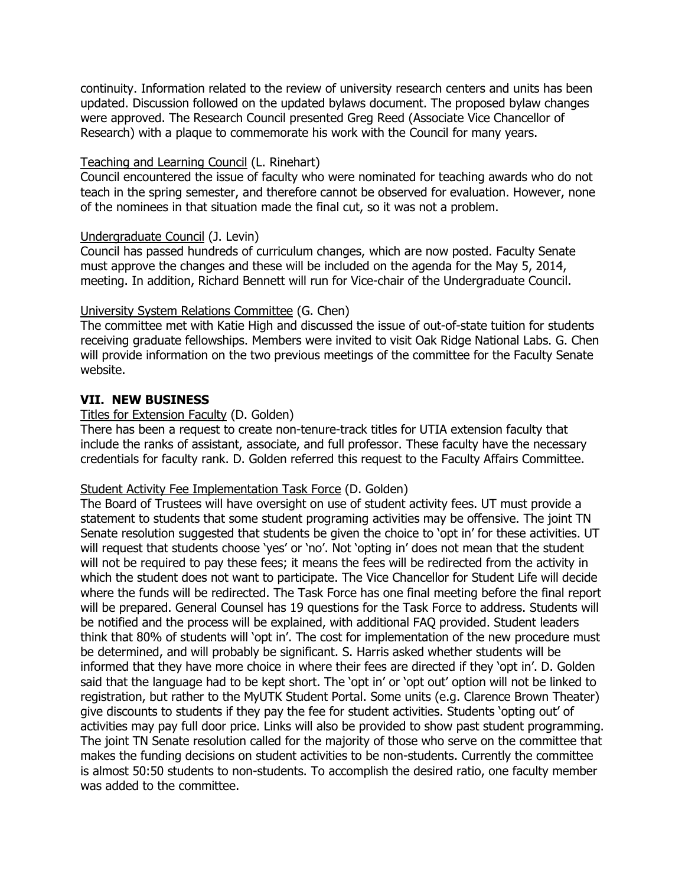continuity. Information related to the review of university research centers and units has been updated. Discussion followed on the updated bylaws document. The proposed bylaw changes were approved. The Research Council presented Greg Reed (Associate Vice Chancellor of Research) with a plaque to commemorate his work with the Council for many years.

## Teaching and Learning Council (L. Rinehart)

Council encountered the issue of faculty who were nominated for teaching awards who do not teach in the spring semester, and therefore cannot be observed for evaluation. However, none of the nominees in that situation made the final cut, so it was not a problem.

# Undergraduate Council (J. Levin)

Council has passed hundreds of curriculum changes, which are now posted. Faculty Senate must approve the changes and these will be included on the agenda for the May 5, 2014, meeting. In addition, Richard Bennett will run for Vice-chair of the Undergraduate Council.

# University System Relations Committee (G. Chen)

The committee met with Katie High and discussed the issue of out-of-state tuition for students receiving graduate fellowships. Members were invited to visit Oak Ridge National Labs. G. Chen will provide information on the two previous meetings of the committee for the Faculty Senate website.

# **VII. NEW BUSINESS**

## Titles for Extension Faculty (D. Golden)

There has been a request to create non-tenure-track titles for UTIA extension faculty that include the ranks of assistant, associate, and full professor. These faculty have the necessary credentials for faculty rank. D. Golden referred this request to the Faculty Affairs Committee.

## Student Activity Fee Implementation Task Force (D. Golden)

The Board of Trustees will have oversight on use of student activity fees. UT must provide a statement to students that some student programing activities may be offensive. The joint TN Senate resolution suggested that students be given the choice to 'opt in' for these activities. UT will request that students choose 'yes' or 'no'. Not 'opting in' does not mean that the student will not be required to pay these fees; it means the fees will be redirected from the activity in which the student does not want to participate. The Vice Chancellor for Student Life will decide where the funds will be redirected. The Task Force has one final meeting before the final report will be prepared. General Counsel has 19 questions for the Task Force to address. Students will be notified and the process will be explained, with additional FAQ provided. Student leaders think that 80% of students will 'opt in'. The cost for implementation of the new procedure must be determined, and will probably be significant. S. Harris asked whether students will be informed that they have more choice in where their fees are directed if they 'opt in'. D. Golden said that the language had to be kept short. The 'opt in' or 'opt out' option will not be linked to registration, but rather to the MyUTK Student Portal. Some units (e.g. Clarence Brown Theater) give discounts to students if they pay the fee for student activities. Students 'opting out' of activities may pay full door price. Links will also be provided to show past student programming. The joint TN Senate resolution called for the majority of those who serve on the committee that makes the funding decisions on student activities to be non-students. Currently the committee is almost 50:50 students to non-students. To accomplish the desired ratio, one faculty member was added to the committee.